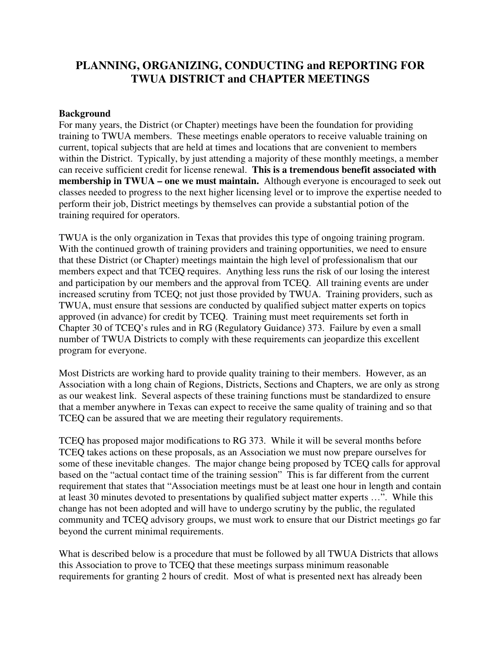## **PLANNING, ORGANIZING, CONDUCTING and REPORTING FOR TWUA DISTRICT and CHAPTER MEETINGS**

#### **Background**

For many years, the District (or Chapter) meetings have been the foundation for providing training to TWUA members. These meetings enable operators to receive valuable training on current, topical subjects that are held at times and locations that are convenient to members within the District. Typically, by just attending a majority of these monthly meetings, a member can receive sufficient credit for license renewal. **This is a tremendous benefit associated with membership in TWUA – one we must maintain.** Although everyone is encouraged to seek out classes needed to progress to the next higher licensing level or to improve the expertise needed to perform their job, District meetings by themselves can provide a substantial potion of the training required for operators.

TWUA is the only organization in Texas that provides this type of ongoing training program. With the continued growth of training providers and training opportunities, we need to ensure that these District (or Chapter) meetings maintain the high level of professionalism that our members expect and that TCEQ requires. Anything less runs the risk of our losing the interest and participation by our members and the approval from TCEQ. All training events are under increased scrutiny from TCEQ; not just those provided by TWUA. Training providers, such as TWUA, must ensure that sessions are conducted by qualified subject matter experts on topics approved (in advance) for credit by TCEQ. Training must meet requirements set forth in Chapter 30 of TCEQ's rules and in RG (Regulatory Guidance) 373. Failure by even a small number of TWUA Districts to comply with these requirements can jeopardize this excellent program for everyone.

Most Districts are working hard to provide quality training to their members. However, as an Association with a long chain of Regions, Districts, Sections and Chapters, we are only as strong as our weakest link. Several aspects of these training functions must be standardized to ensure that a member anywhere in Texas can expect to receive the same quality of training and so that TCEQ can be assured that we are meeting their regulatory requirements.

TCEQ has proposed major modifications to RG 373. While it will be several months before TCEQ takes actions on these proposals, as an Association we must now prepare ourselves for some of these inevitable changes. The major change being proposed by TCEQ calls for approval based on the "actual contact time of the training session" This is far different from the current requirement that states that "Association meetings must be at least one hour in length and contain at least 30 minutes devoted to presentations by qualified subject matter experts …". While this change has not been adopted and will have to undergo scrutiny by the public, the regulated community and TCEQ advisory groups, we must work to ensure that our District meetings go far beyond the current minimal requirements.

What is described below is a procedure that must be followed by all TWUA Districts that allows this Association to prove to TCEQ that these meetings surpass minimum reasonable requirements for granting 2 hours of credit. Most of what is presented next has already been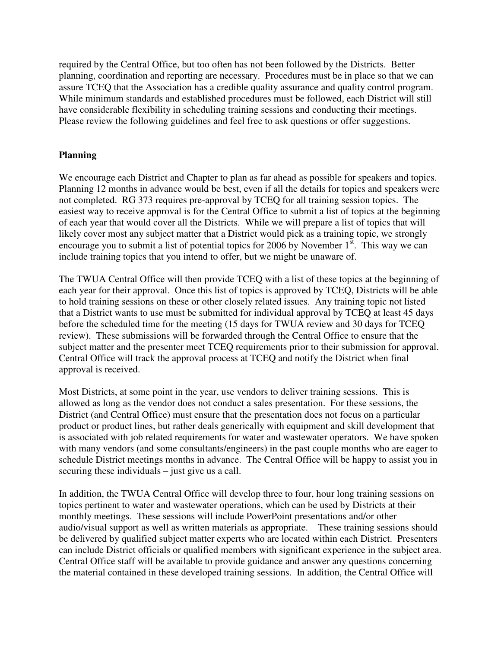required by the Central Office, but too often has not been followed by the Districts. Better planning, coordination and reporting are necessary. Procedures must be in place so that we can assure TCEQ that the Association has a credible quality assurance and quality control program. While minimum standards and established procedures must be followed, each District will still have considerable flexibility in scheduling training sessions and conducting their meetings. Please review the following guidelines and feel free to ask questions or offer suggestions.

### **Planning**

We encourage each District and Chapter to plan as far ahead as possible for speakers and topics. Planning 12 months in advance would be best, even if all the details for topics and speakers were not completed. RG 373 requires pre-approval by TCEQ for all training session topics. The easiest way to receive approval is for the Central Office to submit a list of topics at the beginning of each year that would cover all the Districts. While we will prepare a list of topics that will likely cover most any subject matter that a District would pick as a training topic, we strongly encourage you to submit a list of potential topics for 2006 by November  $1<sup>st</sup>$ . This way we can include training topics that you intend to offer, but we might be unaware of.

The TWUA Central Office will then provide TCEQ with a list of these topics at the beginning of each year for their approval. Once this list of topics is approved by TCEQ, Districts will be able to hold training sessions on these or other closely related issues. Any training topic not listed that a District wants to use must be submitted for individual approval by TCEQ at least 45 days before the scheduled time for the meeting (15 days for TWUA review and 30 days for TCEQ review). These submissions will be forwarded through the Central Office to ensure that the subject matter and the presenter meet TCEQ requirements prior to their submission for approval. Central Office will track the approval process at TCEQ and notify the District when final approval is received.

Most Districts, at some point in the year, use vendors to deliver training sessions. This is allowed as long as the vendor does not conduct a sales presentation. For these sessions, the District (and Central Office) must ensure that the presentation does not focus on a particular product or product lines, but rather deals generically with equipment and skill development that is associated with job related requirements for water and wastewater operators. We have spoken with many vendors (and some consultants/engineers) in the past couple months who are eager to schedule District meetings months in advance. The Central Office will be happy to assist you in securing these individuals – just give us a call.

In addition, the TWUA Central Office will develop three to four, hour long training sessions on topics pertinent to water and wastewater operations, which can be used by Districts at their monthly meetings. These sessions will include PowerPoint presentations and/or other audio/visual support as well as written materials as appropriate. These training sessions should be delivered by qualified subject matter experts who are located within each District. Presenters can include District officials or qualified members with significant experience in the subject area. Central Office staff will be available to provide guidance and answer any questions concerning the material contained in these developed training sessions. In addition, the Central Office will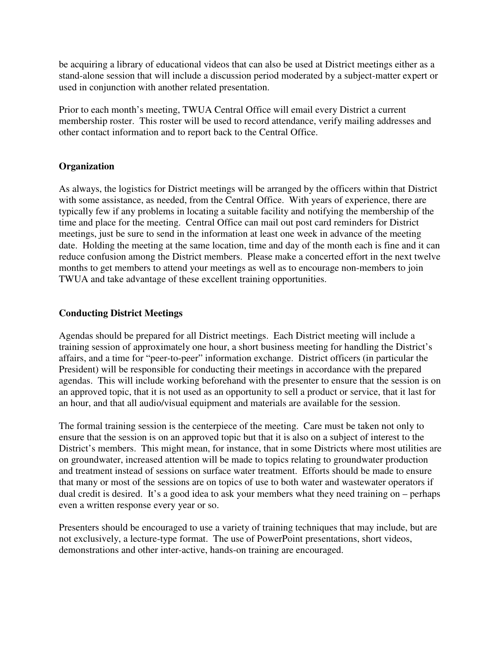be acquiring a library of educational videos that can also be used at District meetings either as a stand-alone session that will include a discussion period moderated by a subject-matter expert or used in conjunction with another related presentation.

Prior to each month's meeting, TWUA Central Office will email every District a current membership roster. This roster will be used to record attendance, verify mailing addresses and other contact information and to report back to the Central Office.

#### **Organization**

As always, the logistics for District meetings will be arranged by the officers within that District with some assistance, as needed, from the Central Office. With years of experience, there are typically few if any problems in locating a suitable facility and notifying the membership of the time and place for the meeting. Central Office can mail out post card reminders for District meetings, just be sure to send in the information at least one week in advance of the meeting date. Holding the meeting at the same location, time and day of the month each is fine and it can reduce confusion among the District members. Please make a concerted effort in the next twelve months to get members to attend your meetings as well as to encourage non-members to join TWUA and take advantage of these excellent training opportunities.

#### **Conducting District Meetings**

Agendas should be prepared for all District meetings. Each District meeting will include a training session of approximately one hour, a short business meeting for handling the District's affairs, and a time for "peer-to-peer" information exchange. District officers (in particular the President) will be responsible for conducting their meetings in accordance with the prepared agendas. This will include working beforehand with the presenter to ensure that the session is on an approved topic, that it is not used as an opportunity to sell a product or service, that it last for an hour, and that all audio/visual equipment and materials are available for the session.

The formal training session is the centerpiece of the meeting. Care must be taken not only to ensure that the session is on an approved topic but that it is also on a subject of interest to the District's members. This might mean, for instance, that in some Districts where most utilities are on groundwater, increased attention will be made to topics relating to groundwater production and treatment instead of sessions on surface water treatment. Efforts should be made to ensure that many or most of the sessions are on topics of use to both water and wastewater operators if dual credit is desired. It's a good idea to ask your members what they need training on – perhaps even a written response every year or so.

Presenters should be encouraged to use a variety of training techniques that may include, but are not exclusively, a lecture-type format. The use of PowerPoint presentations, short videos, demonstrations and other inter-active, hands-on training are encouraged.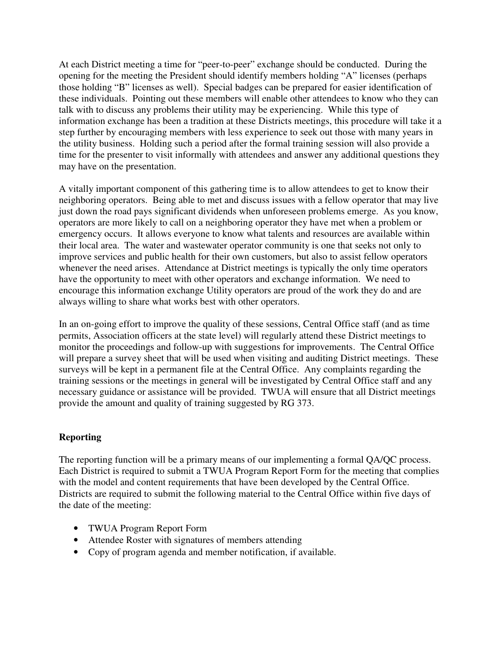At each District meeting a time for "peer-to-peer" exchange should be conducted. During the opening for the meeting the President should identify members holding "A" licenses (perhaps those holding "B" licenses as well). Special badges can be prepared for easier identification of these individuals. Pointing out these members will enable other attendees to know who they can talk with to discuss any problems their utility may be experiencing. While this type of information exchange has been a tradition at these Districts meetings, this procedure will take it a step further by encouraging members with less experience to seek out those with many years in the utility business. Holding such a period after the formal training session will also provide a time for the presenter to visit informally with attendees and answer any additional questions they may have on the presentation.

A vitally important component of this gathering time is to allow attendees to get to know their neighboring operators. Being able to met and discuss issues with a fellow operator that may live just down the road pays significant dividends when unforeseen problems emerge. As you know, operators are more likely to call on a neighboring operator they have met when a problem or emergency occurs. It allows everyone to know what talents and resources are available within their local area. The water and wastewater operator community is one that seeks not only to improve services and public health for their own customers, but also to assist fellow operators whenever the need arises. Attendance at District meetings is typically the only time operators have the opportunity to meet with other operators and exchange information. We need to encourage this information exchange Utility operators are proud of the work they do and are always willing to share what works best with other operators.

In an on-going effort to improve the quality of these sessions, Central Office staff (and as time permits, Association officers at the state level) will regularly attend these District meetings to monitor the proceedings and follow-up with suggestions for improvements. The Central Office will prepare a survey sheet that will be used when visiting and auditing District meetings. These surveys will be kept in a permanent file at the Central Office. Any complaints regarding the training sessions or the meetings in general will be investigated by Central Office staff and any necessary guidance or assistance will be provided. TWUA will ensure that all District meetings provide the amount and quality of training suggested by RG 373.

#### **Reporting**

The reporting function will be a primary means of our implementing a formal QA/QC process. Each District is required to submit a TWUA Program Report Form for the meeting that complies with the model and content requirements that have been developed by the Central Office. Districts are required to submit the following material to the Central Office within five days of the date of the meeting:

- TWUA Program Report Form
- Attendee Roster with signatures of members attending
- Copy of program agenda and member notification, if available.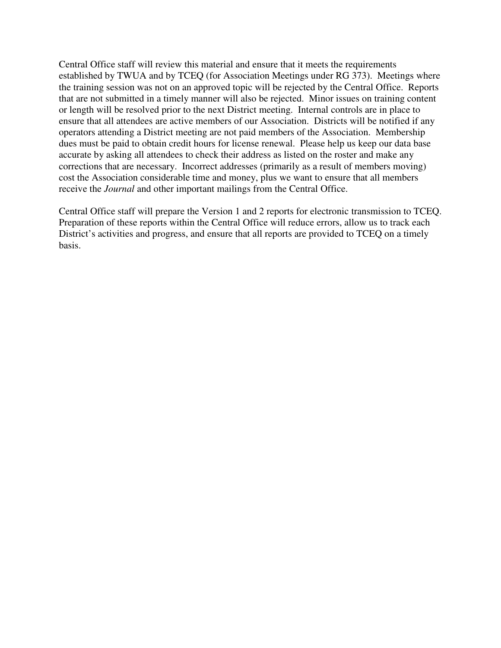Central Office staff will review this material and ensure that it meets the requirements established by TWUA and by TCEQ (for Association Meetings under RG 373). Meetings where the training session was not on an approved topic will be rejected by the Central Office. Reports that are not submitted in a timely manner will also be rejected. Minor issues on training content or length will be resolved prior to the next District meeting. Internal controls are in place to ensure that all attendees are active members of our Association. Districts will be notified if any operators attending a District meeting are not paid members of the Association. Membership dues must be paid to obtain credit hours for license renewal. Please help us keep our data base accurate by asking all attendees to check their address as listed on the roster and make any corrections that are necessary. Incorrect addresses (primarily as a result of members moving) cost the Association considerable time and money, plus we want to ensure that all members receive the *Journal* and other important mailings from the Central Office.

Central Office staff will prepare the Version 1 and 2 reports for electronic transmission to TCEQ. Preparation of these reports within the Central Office will reduce errors, allow us to track each District's activities and progress, and ensure that all reports are provided to TCEQ on a timely basis.